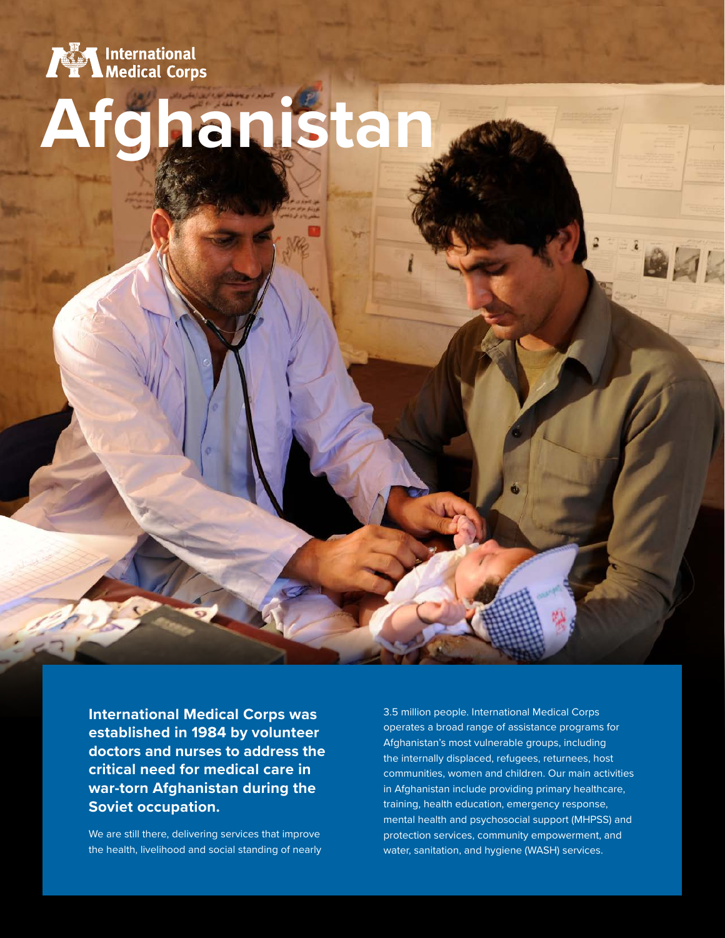

# **Afghanistan**

**International Medical Corps was established in 1984 by volunteer doctors and nurses to address the critical need for medical care in war-torn Afghanistan during the Soviet occupation.**

We are still there, delivering services that improve the health, livelihood and social standing of nearly

3.5 million people. International Medical Corps operates a broad range of assistance programs for Afghanistan's most vulnerable groups, including the internally displaced, refugees, returnees, host communities, women and children. Our main activities in Afghanistan include providing primary healthcare, training, health education, emergency response, mental health and psychosocial support (MHPSS) and protection services, community empowerment, and water, sanitation, and hygiene (WASH) services.

4K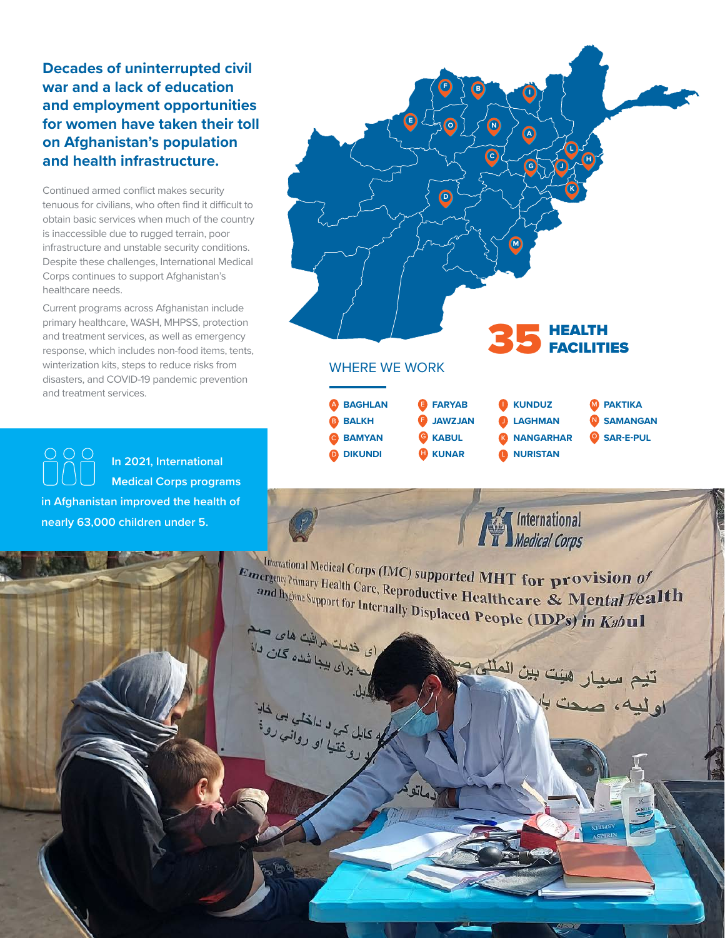**Decades of uninterrupted civil war and a lack of education and employment opportunities for women have taken their toll on Afghanistan's population and health infrastructure.**

Continued armed conflict makes security tenuous for civilians, who often find it difficult to obtain basic services when much of the country is inaccessible due to rugged terrain, poor infrastructure and unstable security conditions. Despite these challenges, International Medical Corps continues to support Afghanistan's healthcare needs.

Current programs across Afghanistan include primary healthcare, WASH, MHPSS, protection and treatment services, as well as emergency response, which includes non-food items, tents, winterization kits, steps to reduce risks from disasters, and COVID-19 pandemic prevention and treatment services.

**PRP In 2021, International Medical Corps programs in Afghanistan improved the health of nearly 63,000 children under 5.**



فعاتق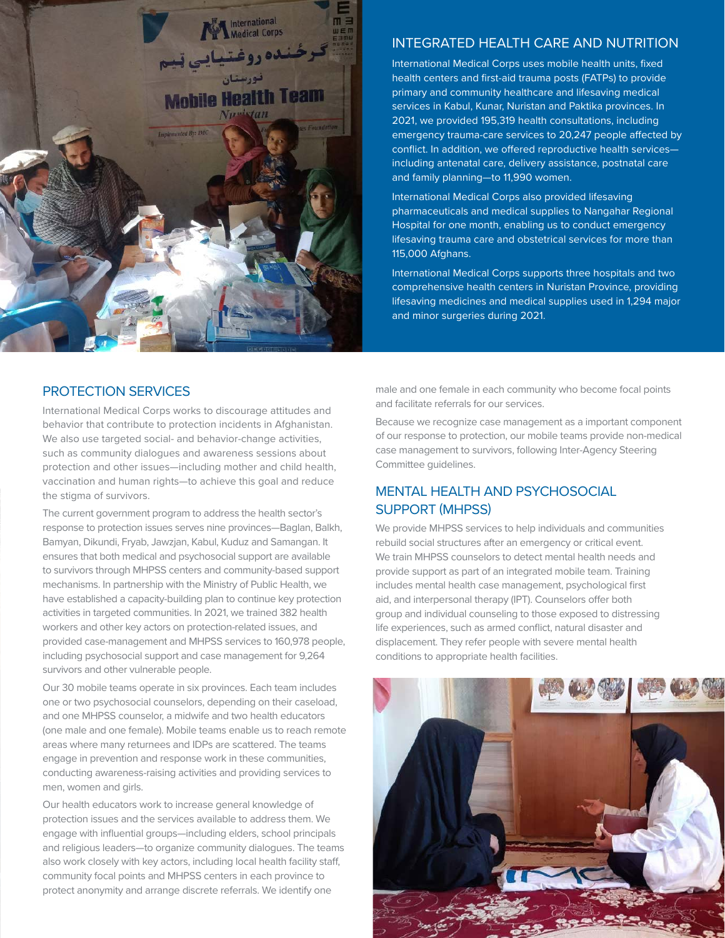

# INTEGRATED HEALTH CARE AND NUTRITION

International Medical Corps uses mobile health units, fixed health centers and first-aid trauma posts (FATPs) to provide primary and community healthcare and lifesaving medical services in Kabul, Kunar, Nuristan and Paktika provinces. In 2021, we provided 195,319 health consultations, including emergency trauma-care services to 20,247 people affected by conflict. In addition, we offered reproductive health services including antenatal care, delivery assistance, postnatal care and family planning—to 11,990 women.

International Medical Corps also provided lifesaving pharmaceuticals and medical supplies to Nangahar Regional Hospital for one month, enabling us to conduct emergency lifesaving trauma care and obstetrical services for more than 115,000 Afghans.

International Medical Corps supports three hospitals and two comprehensive health centers in Nuristan Province, providing lifesaving medicines and medical supplies used in 1,294 major and minor surgeries during 2021.

# PROTECTION SERVICES

International Medical Corps works to discourage attitudes and behavior that contribute to protection incidents in Afghanistan. We also use targeted social- and behavior-change activities, such as community dialogues and awareness sessions about protection and other issues—including mother and child health, vaccination and human rights—to achieve this goal and reduce the stigma of survivors.

The current government program to address the health sector's response to protection issues serves nine provinces—Baglan, Balkh, Bamyan, Dikundi, Fryab, Jawzjan, Kabul, Kuduz and Samangan. It ensures that both medical and psychosocial support are available to survivors through MHPSS centers and community-based support mechanisms. In partnership with the Ministry of Public Health, we have established a capacity-building plan to continue key protection activities in targeted communities. In 2021, we trained 382 health workers and other key actors on protection-related issues, and provided case-management and MHPSS services to 160,978 people, including psychosocial support and case management for 9,264 survivors and other vulnerable people.

Our 30 mobile teams operate in six provinces. Each team includes one or two psychosocial counselors, depending on their caseload, and one MHPSS counselor, a midwife and two health educators (one male and one female). Mobile teams enable us to reach remote areas where many returnees and IDPs are scattered. The teams engage in prevention and response work in these communities, conducting awareness-raising activities and providing services to men, women and girls.

Our health educators work to increase general knowledge of protection issues and the services available to address them. We engage with influential groups—including elders, school principals and religious leaders—to organize community dialogues. The teams also work closely with key actors, including local health facility staff, community focal points and MHPSS centers in each province to protect anonymity and arrange discrete referrals. We identify one

male and one female in each community who become focal points and facilitate referrals for our services.

Because we recognize case management as a important component of our response to protection, our mobile teams provide non-medical case management to survivors, following Inter-Agency Steering Committee guidelines.

# MENTAL HEALTH AND PSYCHOSOCIAL SUPPORT (MHPSS)

We provide MHPSS services to help individuals and communities rebuild social structures after an emergency or critical event. We train MHPSS counselors to detect mental health needs and provide support as part of an integrated mobile team. Training includes mental health case management, psychological first aid, and interpersonal therapy (IPT). Counselors offer both group and individual counseling to those exposed to distressing life experiences, such as armed conflict, natural disaster and displacement. They refer people with severe mental health conditions to appropriate health facilities.